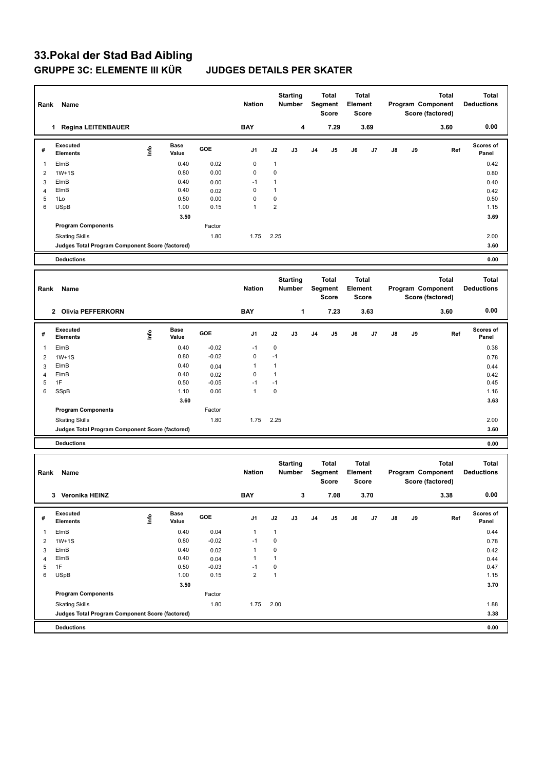## **33.Pokal der Stad Bad Aibling GRUPPE 3C: ELEMENTE III KÜR JUDGES DETAILS PER SKATER**

|                      | Rank<br>Name                                                             |      |               |                 | <b>Nation</b>        |                                      | <b>Starting</b><br>Number |                  | <b>Total</b><br>Segment<br>Score |                  | <b>Total</b><br>Element<br>Score |                                   | Total<br>Program Component<br>Score (factored) |                   | <b>Total</b><br><b>Deductions</b> |
|----------------------|--------------------------------------------------------------------------|------|---------------|-----------------|----------------------|--------------------------------------|---------------------------|------------------|----------------------------------|------------------|----------------------------------|-----------------------------------|------------------------------------------------|-------------------|-----------------------------------|
| 1 Regina LEITENBAUER |                                                                          |      |               | <b>BAY</b>      |                      | 4                                    | 7.29                      |                  | 3.69                             |                  |                                  |                                   | 3.60                                           | 0.00              |                                   |
| #                    | Executed<br><b>Elements</b>                                              | Info | Base<br>Value | GOE             | J1                   | J2                                   | J3                        | J4               | J5                               | J6               | J7                               | J8                                | J9                                             | Ref               | <b>Scores of</b><br>Panel         |
| $\mathbf{1}$         | ElmB                                                                     |      | 0.40          | 0.02            | $\pmb{0}$            | 1                                    |                           |                  |                                  |                  |                                  |                                   |                                                |                   | 0.42                              |
| $\overline{2}$       | $1W+1S$                                                                  |      | 0.80          | 0.00            | 0                    | 0                                    |                           |                  |                                  |                  |                                  |                                   |                                                |                   | 0.80                              |
| 3                    | ElmB                                                                     |      | 0.40          | 0.00            | $-1$                 | 1                                    |                           |                  |                                  |                  |                                  |                                   |                                                |                   | 0.40                              |
| 4                    | ElmB                                                                     |      | 0.40          | 0.02            | 0                    | $\mathbf{1}$                         |                           |                  |                                  |                  |                                  |                                   |                                                |                   | 0.42                              |
| 5<br>6               | 1Lo                                                                      |      | 0.50          | 0.00            | 0<br>$\mathbf{1}$    | $\pmb{0}$<br>$\overline{\mathbf{c}}$ |                           |                  |                                  |                  |                                  |                                   |                                                |                   | 0.50                              |
|                      | <b>USpB</b>                                                              |      | 1.00          | 0.15            |                      |                                      |                           |                  |                                  |                  |                                  |                                   |                                                |                   | 1.15                              |
|                      | <b>Program Components</b>                                                |      | 3.50          | Factor          |                      |                                      |                           |                  |                                  |                  |                                  |                                   |                                                |                   | 3.69                              |
|                      | <b>Skating Skills</b>                                                    |      |               | 1.80            | 1.75                 | 2.25                                 |                           |                  |                                  |                  |                                  |                                   |                                                |                   | 2.00                              |
|                      | Judges Total Program Component Score (factored)                          |      |               |                 |                      |                                      |                           |                  |                                  |                  |                                  |                                   |                                                |                   | 3.60                              |
|                      | <b>Deductions</b>                                                        |      |               |                 |                      |                                      |                           |                  |                                  |                  |                                  |                                   |                                                |                   | 0.00                              |
|                      |                                                                          |      |               |                 |                      |                                      |                           |                  |                                  |                  |                                  |                                   |                                                |                   |                                   |
|                      |                                                                          |      |               |                 |                      | <b>Starting</b><br>Number            |                           | Total<br>Segment |                                  | Total<br>Element |                                  | <b>Total</b><br>Program Component |                                                |                   | <b>Total</b>                      |
| Rank                 | Name                                                                     |      |               |                 | <b>Nation</b>        |                                      |                           |                  |                                  |                  |                                  |                                   |                                                |                   | <b>Deductions</b>                 |
|                      |                                                                          |      |               |                 |                      |                                      |                           |                  | Score                            |                  | <b>Score</b>                     |                                   |                                                | Score (factored)  |                                   |
|                      | 2 Olivia PEFFERKORN                                                      |      |               |                 | <b>BAY</b>           |                                      | 1                         |                  | 7.23                             |                  | 3.63                             |                                   |                                                | 3.60              | 0.00                              |
|                      |                                                                          |      |               |                 |                      |                                      |                           |                  |                                  |                  |                                  |                                   |                                                |                   |                                   |
| #                    | Executed<br><b>Elements</b>                                              | lnfo | Base<br>Value | GOE             | J1                   | J2                                   | J3                        | J4               | J5                               | J6               | J7                               | J8                                | J9                                             | Ref               | <b>Scores of</b><br>Panel         |
| $\mathbf{1}$         | ElmB                                                                     |      | 0.40          | $-0.02$         | $-1$                 | 0                                    |                           |                  |                                  |                  |                                  |                                   |                                                |                   | 0.38                              |
| 2                    | $1W+1S$                                                                  |      | 0.80          | $-0.02$         | 0                    | $-1$                                 |                           |                  |                                  |                  |                                  |                                   |                                                |                   | 0.78                              |
| 3                    | ElmB                                                                     |      | 0.40          | 0.04            | $\mathbf{1}$         | $\mathbf{1}$                         |                           |                  |                                  |                  |                                  |                                   |                                                |                   | 0.44                              |
| 4                    | ElmB                                                                     |      | 0.40          | 0.02            | 0                    | $\mathbf{1}$                         |                           |                  |                                  |                  |                                  |                                   |                                                |                   | 0.42                              |
| 5                    | 1F                                                                       |      | 0.50          | $-0.05$         | $-1$                 | $-1$                                 |                           |                  |                                  |                  |                                  |                                   |                                                |                   | 0.45                              |
| 6                    | SSpB                                                                     |      | 1.10          | 0.06            | $\mathbf{1}$         | $\pmb{0}$                            |                           |                  |                                  |                  |                                  |                                   |                                                |                   | 1.16                              |
|                      |                                                                          |      | 3.60          | Factor          |                      |                                      |                           |                  |                                  |                  |                                  |                                   |                                                |                   | 3.63                              |
|                      | <b>Program Components</b>                                                |      |               |                 |                      |                                      |                           |                  |                                  |                  |                                  |                                   |                                                |                   |                                   |
|                      | <b>Skating Skills</b><br>Judges Total Program Component Score (factored) |      |               | 1.80            | 1.75                 | 2.25                                 |                           |                  |                                  |                  |                                  |                                   |                                                |                   | 2.00<br>3.60                      |
|                      |                                                                          |      |               |                 |                      |                                      |                           |                  |                                  |                  |                                  |                                   |                                                |                   |                                   |
|                      | <b>Deductions</b>                                                        |      |               |                 |                      |                                      |                           |                  |                                  |                  |                                  |                                   |                                                |                   | 0.00                              |
|                      |                                                                          |      |               |                 |                      | <b>Starting</b>                      |                           | <b>Total</b>     |                                  | <b>Total</b>     |                                  | <b>Total</b>                      |                                                |                   | <b>Total</b>                      |
| Rank                 | Name                                                                     |      |               |                 | <b>Nation</b>        |                                      | <b>Number</b>             |                  | Segment                          | Element          |                                  |                                   |                                                | Program Component | <b>Deductions</b>                 |
|                      |                                                                          |      |               |                 |                      |                                      |                           |                  | Score                            |                  | Score                            |                                   |                                                | Score (factored)  |                                   |
|                      |                                                                          |      |               |                 |                      |                                      |                           |                  |                                  |                  |                                  |                                   |                                                |                   | 0.00                              |
|                      | 3 Veronika HEINZ                                                         |      |               |                 | BAY                  |                                      | 3                         |                  | 7.08                             |                  | 3.70                             |                                   |                                                | 3.38              |                                   |
| #                    | Executed                                                                 |      | <b>Base</b>   | GOE             | J1                   | J2                                   | J3                        | J4               | J5                               | J6               | J7                               | J8                                | J9                                             | Ref               | Scores of                         |
|                      | <b>Elements</b>                                                          | Info | Value         |                 |                      |                                      |                           |                  |                                  |                  |                                  |                                   |                                                |                   | Panel                             |
| $\overline{1}$       | ElmB                                                                     |      | 0.40          | 0.04            | $\mathbf{1}$         | $\mathbf{1}$                         |                           |                  |                                  |                  |                                  |                                   |                                                |                   | 0.44                              |
| $\overline{2}$       | $1W+1S$                                                                  |      | 0.80          | $-0.02$         | $-1$                 | $\mathbf 0$                          |                           |                  |                                  |                  |                                  |                                   |                                                |                   | 0.78                              |
| 3                    | ElmB                                                                     |      | 0.40          | 0.02            | $\mathbf{1}$         | $\pmb{0}$                            |                           |                  |                                  |                  |                                  |                                   |                                                |                   | 0.42                              |
| $\overline{4}$<br>5  | ElmB<br>1F                                                               |      | 0.40<br>0.50  | 0.04<br>$-0.03$ | $\mathbf{1}$<br>$-1$ | $\mathbf{1}$<br>$\mathbf 0$          |                           |                  |                                  |                  |                                  |                                   |                                                |                   | 0.44<br>0.47                      |
| 6                    | <b>USpB</b>                                                              |      | 1.00          | 0.15            | $\overline{2}$       | $\mathbf{1}$                         |                           |                  |                                  |                  |                                  |                                   |                                                |                   | 1.15                              |
|                      |                                                                          |      | 3.50          |                 |                      |                                      |                           |                  |                                  |                  |                                  |                                   |                                                |                   | 3.70                              |
|                      | <b>Program Components</b>                                                |      |               | Factor          |                      |                                      |                           |                  |                                  |                  |                                  |                                   |                                                |                   |                                   |
|                      | <b>Skating Skills</b>                                                    |      |               | 1.80            | 1.75                 | 2.00                                 |                           |                  |                                  |                  |                                  |                                   |                                                |                   | 1.88                              |
|                      | Judges Total Program Component Score (factored)                          |      |               |                 |                      |                                      |                           |                  |                                  |                  |                                  |                                   |                                                |                   | 3.38                              |
|                      |                                                                          |      |               |                 |                      |                                      |                           |                  |                                  |                  |                                  |                                   |                                                |                   |                                   |
|                      | <b>Deductions</b>                                                        |      |               |                 |                      |                                      |                           |                  |                                  |                  |                                  |                                   |                                                |                   | 0.00                              |